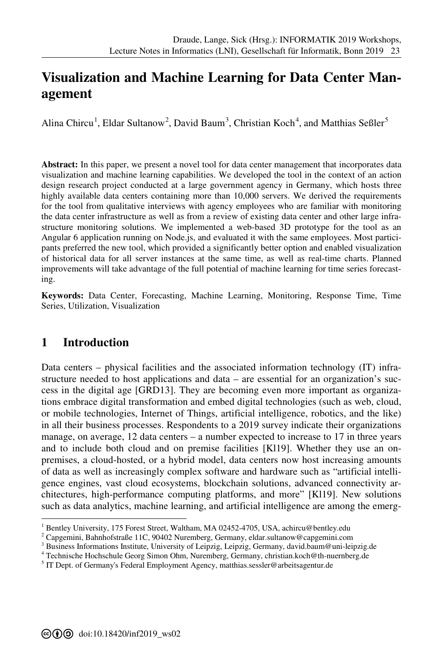# **[V](#page--1-0)isualization and Machine Learning for Data Center Management**

Alina Chircu<sup>1</sup>, Eldar Sultanow<sup>2</sup>, David Baum<sup>3</sup>, Christian Koch<sup>4</sup>, and Matthias Seßler<sup>5</sup>

**Abstract:** In this paper, we present a novel tool for data center management that incorporates data visualization and machine learning capabilities. We developed the tool in the context of an action design research project conducted at a large government agency in Germany, which hosts three highly available data centers containing more than 10,000 servers. We derived the requirements for the tool from qualitative interviews with agency employees who are familiar with monitoring the data center infrastructure as well as from a review of existing data center and other large infrastructure monitoring solutions. We implemented a web-based 3D prototype for the tool as an Angular 6 application running on Node.js, and evaluated it with the same employees. Most participants preferred the new tool, which provided a significantly better option and enabled visualization of historical data for all server instances at the same time, as well as real-time charts. Planned improvements will take advantage of the full potential of machine learning for time series forecasting.

**Keywords:** Data Center, Forecasting, Machine Learning, Monitoring, Response Time, Time Series, Utilization, Visualization

### **1 Introduction**

-

Data centers – physical facilities and the associated information technology (IT) infrastructure needed to host applications and data – are essential for an organization's success in the digital age [GRD13]. They are becoming even more important as organizations embrace digital transformation and embed digital technologies (such as web, cloud, or mobile technologies, Internet of Things, artificial intelligence, robotics, and the like) in all their business processes. Respondents to a 2019 survey indicate their organizations manage, on average, 12 data centers – a number expected to increase to 17 in three years and to include both cloud and on premise facilities [Kl19]. Whether they use an onpremises, a cloud-hosted, or a hybrid model, data centers now host increasing amounts of data as well as increasingly complex software and hardware such as "artificial intelligence engines, vast cloud ecosystems, blockchain solutions, advanced connectivity architectures, high-performance computing platforms, and more" [Kl19]. New solutions such as data analytics, machine learning, and artificial intelligence are among the emerg-

<sup>1</sup> Bentley University, 175 Forest Street, Waltham, MA 02452-4705, USA, achircu@bentley.edu

<sup>2</sup> Capgemini, Bahnhofstraße 11C, 90402 Nuremberg, Germany, eldar.sultanow@capgemini.com

<sup>&</sup>lt;sup>3</sup> Business Informations Institute, University of Leipzig, Leipzig, Germany, david.baum@uni-leipzig.de

<sup>4</sup> Technische Hochschule Georg Simon Ohm, Nuremberg, Germany, christian.koch@th-nuernberg.de

<sup>&</sup>lt;sup>5</sup> IT Dept. of Germany's Federal Employment Agency, matthias.sessler@arbeitsagentur.de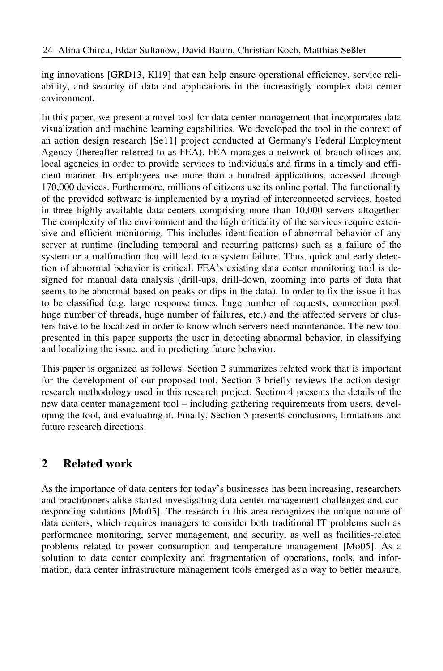ing innovations [GRD13, Kl19] that can help ensure operational efficiency, service reliability, and security of data and applications in the increasingly complex data center environment.

In this paper, we present a novel tool for data center management that incorporates data visualization and machine learning capabilities. We developed the tool in the context of an action design research [Se11] project conducted at Germany's Federal Employment Agency (thereafter referred to as FEA). FEA manages a network of branch offices and local agencies in order to provide services to individuals and firms in a timely and efficient manner. Its employees use more than a hundred applications, accessed through 170,000 devices. Furthermore, millions of citizens use its online portal. The functionality of the provided software is implemented by a myriad of interconnected services, hosted in three highly available data centers comprising more than 10,000 servers altogether. The complexity of the environment and the high criticality of the services require extensive and efficient monitoring. This includes identification of abnormal behavior of any server at runtime (including temporal and recurring patterns) such as a failure of the system or a malfunction that will lead to a system failure. Thus, quick and early detection of abnormal behavior is critical. FEA's existing data center monitoring tool is designed for manual data analysis (drill-ups, drill-down, zooming into parts of data that seems to be abnormal based on peaks or dips in the data). In order to fix the issue it has to be classified (e.g. large response times, huge number of requests, connection pool, huge number of threads, huge number of failures, etc.) and the affected servers or clusters have to be localized in order to know which servers need maintenance. The new tool presented in this paper supports the user in detecting abnormal behavior, in classifying and localizing the issue, and in predicting future behavior.

This paper is organized as follows. Section 2 summarizes related work that is important for the development of our proposed tool. Section 3 briefly reviews the action design research methodology used in this research project. Section 4 presents the details of the new data center management tool – including gathering requirements from users, developing the tool, and evaluating it. Finally, Section 5 presents conclusions, limitations and future research directions.

## **2 Related work**

As the importance of data centers for today's businesses has been increasing, researchers and practitioners alike started investigating data center management challenges and corresponding solutions [Mo05]. The research in this area recognizes the unique nature of data centers, which requires managers to consider both traditional IT problems such as performance monitoring, server management, and security, as well as facilities-related problems related to power consumption and temperature management [Mo05]. As a solution to data center complexity and fragmentation of operations, tools, and information, data center infrastructure management tools emerged as a way to better measure,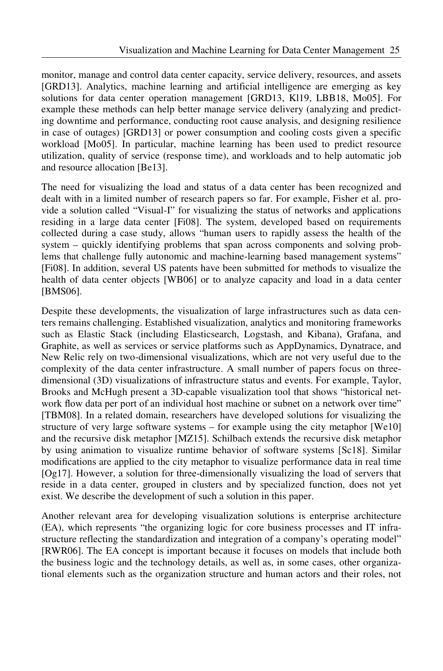monitor, manage and control data center capacity, service delivery, resources, and assets [GRD13]. Analytics, machine learning and artificial intelligence are emerging as key solutions for data center operation management [GRD13, Kl19, LBB18, Mo05]. For example these methods can help better manage service delivery (analyzing and predicting downtime and performance, conducting root cause analysis, and designing resilience in case of outages) [GRD13] or power consumption and cooling costs given a specific workload [Mo05]. In particular, machine learning has been used to predict resource utilization, quality of service (response time), and workloads and to help automatic job and resource allocation [Be13].

The need for visualizing the load and status of a data center has been recognized and dealt with in a limited number of research papers so far. For example, Fisher et al. provide a solution called "Visual-I" for visualizing the status of networks and applications residing in a large data center [Fi08]. The system, developed based on requirements collected during a case study, allows "human users to rapidly assess the health of the system – quickly identifying problems that span across components and solving problems that challenge fully autonomic and machine-learning based management systems" [Fi08]. In addition, several US patents have been submitted for methods to visualize the health of data center objects [WB06] or to analyze capacity and load in a data center [BMS06].

Despite these developments, the visualization of large infrastructures such as data centers remains challenging. Established visualization, analytics and monitoring frameworks such as Elastic Stack (including Elasticsearch, Logstash, and Kibana), Grafana, and Graphite, as well as services or service platforms such as AppDynamics, Dynatrace, and New Relic rely on two-dimensional visualizations, which are not very useful due to the complexity of the data center infrastructure. A small number of papers focus on threedimensional (3D) visualizations of infrastructure status and events. For example, Taylor, Brooks and McHugh present a 3D-capable visualization tool that shows "historical network flow data per port of an individual host machine or subnet on a network over time" [TBM08]. In a related domain, researchers have developed solutions for visualizing the structure of very large software systems – for example using the city metaphor [We10] and the recursive disk metaphor [MZ15]. Schilbach extends the recursive disk metaphor by using animation to visualize runtime behavior of software systems [Sc18]. Similar modifications are applied to the city metaphor to visualize performance data in real time [Og17]. However, a solution for three-dimensionally visualizing the load of servers that reside in a data center, grouped in clusters and by specialized function, does not yet exist. We describe the development of such a solution in this paper.

Another relevant area for developing visualization solutions is enterprise architecture (EA), which represents "the organizing logic for core business processes and IT infrastructure reflecting the standardization and integration of a company's operating model" [RWR06]. The EA concept is important because it focuses on models that include both the business logic and the technology details, as well as, in some cases, other organizational elements such as the organization structure and human actors and their roles, not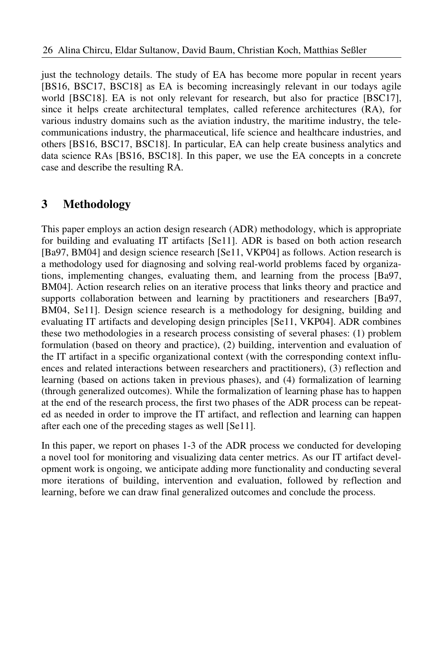just the technology details. The study of EA has become more popular in recent years [BS16, BSC17, BSC18] as EA is becoming increasingly relevant in our todays agile world [BSC18]. EA is not only relevant for research, but also for practice [BSC17], since it helps create architectural templates, called reference architectures (RA), for various industry domains such as the aviation industry, the maritime industry, the telecommunications industry, the pharmaceutical, life science and healthcare industries, and others [BS16, BSC17, BSC18]. In particular, EA can help create business analytics and data science RAs [BS16, BSC18]. In this paper, we use the EA concepts in a concrete case and describe the resulting RA.

## **3 Methodology**

This paper employs an action design research (ADR) methodology, which is appropriate for building and evaluating IT artifacts [Se11]. ADR is based on both action research [Ba97, BM04] and design science research [Se11, VKP04] as follows. Action research is a methodology used for diagnosing and solving real-world problems faced by organizations, implementing changes, evaluating them, and learning from the process [Ba97, BM04]. Action research relies on an iterative process that links theory and practice and supports collaboration between and learning by practitioners and researchers [Ba97, BM04, Se11]. Design science research is a methodology for designing, building and evaluating IT artifacts and developing design principles [Se11, VKP04]. ADR combines these two methodologies in a research process consisting of several phases: (1) problem formulation (based on theory and practice), (2) building, intervention and evaluation of the IT artifact in a specific organizational context (with the corresponding context influences and related interactions between researchers and practitioners), (3) reflection and learning (based on actions taken in previous phases), and (4) formalization of learning (through generalized outcomes). While the formalization of learning phase has to happen at the end of the research process, the first two phases of the ADR process can be repeated as needed in order to improve the IT artifact, and reflection and learning can happen after each one of the preceding stages as well [Se11].

In this paper, we report on phases 1-3 of the ADR process we conducted for developing a novel tool for monitoring and visualizing data center metrics. As our IT artifact development work is ongoing, we anticipate adding more functionality and conducting several more iterations of building, intervention and evaluation, followed by reflection and learning, before we can draw final generalized outcomes and conclude the process.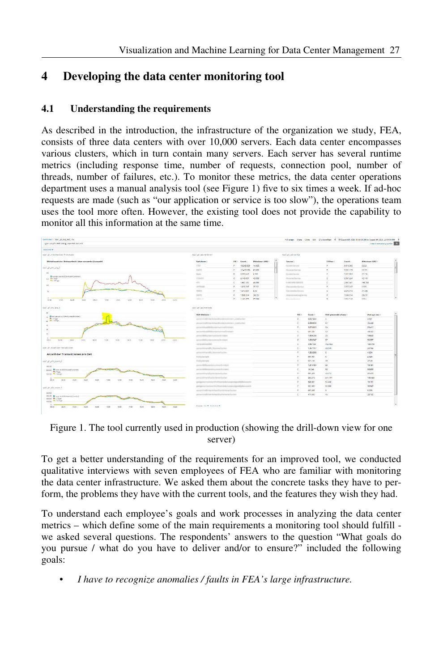## **4 Developing the data center monitoring tool**

#### **4.1 Understanding the requirements**

As described in the introduction, the infrastructure of the organization we study, FEA, consists of three data centers with over 10,000 servers. Each data center encompasses various clusters, which in turn contain many servers. Each server has several runtime metrics (including response time, number of requests, connection pool, number of threads, number of failures, etc.). To monitor these metrics, the data center operations department uses a manual analysis tool (see Figure 1) five to six times a week. If ad-hoc requests are made (such as "our application or service is too slow"), the operations team uses the tool more often. However, the existing tool does not provide the capability to monitor all this information at the same time.

| type: wis.pfcr.AND diskip true.AND away-10                                        |                                                                          |                                                                                     |                    |                    |  |                                               |           |                        |                  | <b>Clear Libria Diary Synces</b> Q |
|-----------------------------------------------------------------------------------|--------------------------------------------------------------------------|-------------------------------------------------------------------------------------|--------------------|--------------------|--|-----------------------------------------------|-----------|------------------------|------------------|------------------------------------|
|                                                                                   |                                                                          |                                                                                     |                    |                    |  |                                               |           |                        |                  |                                    |
| ups! all mitalwert der Artikortzais                                               | out studentime.                                                          |                                                                                     |                    |                    |  | cost_ph_lab-service                           |           |                        |                  |                                    |
| Mittebuert der Antwortzeit über gesamte Auswahl.                                  | <b>Werfahren!</b>                                                        |                                                                                     | <b>FIC: County</b> | Mittelssert AINZ ( |  | Service 2                                     |           | Cit Provi in           | Courst -         | Mittiebeert AWZ :                  |
| Sark, shurle, ang, C                                                              | <b>STAR</b>                                                              | in.                                                                                 | 19,948.609         | 14,508             |  | Anderson Commercial                           |           | $\overline{a}$         | 9.419.560        | 6.826                              |
|                                                                                   | <b>SAFE</b>                                                              | ×                                                                                   | 12,413,036 63,009  |                    |  | <b>Received Contrast</b>                      |           | $\overline{a}$         | 9,532,179        | 20,891                             |
|                                                                                   | Senior                                                                   | $=$                                                                                 | 2,217,617          | 6.195              |  | Sydneylands                                   |           | $\sim$                 | 7,121,052        | 27.116                             |
| Rousse not do 506 Nuter/Centered<br>TO STORE                                      | <b><i>INSTRUCTS</i></b>                                                  | $\sim$                                                                              | 2149.027           | 43,098             |  | <b>Business Factor</b><br>A ABCHINE CORPORATI |           | c                      | 3.587.224        | 45,749                             |
|                                                                                   | <b>ATA</b>                                                               | $\sim$                                                                              | 1.681.181          | 48, 853            |  |                                               |           | c.                     | 2.057.041        | 168,708                            |
|                                                                                   | <b>SERVICE</b>                                                           | ×                                                                                   | 1,616.747          | 20.251             |  | Terminiche                                    | $\sim$    | 2.957.647              | 4.995            |                                    |
|                                                                                   | <b>HATCH</b>                                                             | $\sim$                                                                              | 1514,503           | 836                |  | Vaccasion in a c.                             |           |                        | 2.070.913        | 21,208                             |
|                                                                                   | <b>SALES</b>                                                             | in.                                                                                 | 1,506,574          | 262.37             |  | Since you want you has tried                  |           | $\alpha$               | 1,506,574        | 262.37                             |
| <b>SHOP</b><br>to to.<br>unit:<br>1.00<br>1201<br><b>SOME</b><br>14:30<br>take in | <b>SHOW:</b><br>$-0.00$<br>1691<br>2218                                  | $\mathcal{C}^{(1)}$                                                                 | 1141 011           | on noo             |  | Science and Company                           |           | $\sim$                 | <b>A galance</b> | 0.011                              |
|                                                                                   |                                                                          |                                                                                     |                    |                    |  |                                               |           |                        |                  |                                    |
| yes), an one are 7                                                                | ups1_gh_tel-metroda                                                      |                                                                                     |                    |                    |  |                                               |           |                        |                  |                                    |
| to When you are a stable to interferential                                        | SOA-Methode /                                                            |                                                                                     |                    |                    |  | P/C H                                         | Count in  | 93th percentile of and |                  | Average and                        |
| <b>R</b> ECTION<br>at #1-145pm<br>American Child<br>×                             |                                                                          | promoted mark twist concerns a century.                                             |                    |                    |  | $\mathcal{L}$                                 | 6,667,884 |                        |                  | 1,951                              |
|                                                                                   |                                                                          | proved individuals to an illustration of the control of                             |                    |                    |  | $\epsilon$                                    | 6,399,908 | $52^{\circ}$           |                  | 25,444                             |
|                                                                                   |                                                                          | personal addition per service to part                                               |                    |                    |  | ٠.                                            | 3,370,863 | 12.4                   |                  | 20417                              |
|                                                                                   | percentakan Military management with winds                               |                                                                                     |                    |                    |  | $\sim$                                        | 6022017   | $^{12}$                |                  | $-0.022$                           |
|                                                                                   | percent did by I don't get look de troisint                              |                                                                                     |                    |                    |  | $\circ$                                       | 1,909,238 | $^{12}$                |                  | 19.642                             |
| 12/07<br>193 99<br><b>TWIT</b><br>tems<br><b>DECK</b><br>11:00<br>1400<br>$-4.09$ | Térit<br>zem<br><b>THE</b>                                               | personal distributions extend the collect                                           |                    |                    |  | ÷                                             | 1,008.347 | 17                     |                  | 52.057                             |
|                                                                                   | centered book like                                                       |                                                                                     |                    |                    |  | $\sim$                                        | 2,867,323 | T54 944                |                  | 168,708                            |
| nost jet Aspati der Tremaktonen                                                   |                                                                          | personality and EL SummerFucture                                                    |                    |                    |  | c.                                            | 1,357,117 | 18.049                 |                  | 22166                              |
| Anzahl der Transaktionen pro Zeit                                                 | permetring ATA, Newman California                                        |                                                                                     |                    |                    |  | $\sim$                                        | 1,156,002 | $\mathbf{r}$           |                  | 4.534                              |
|                                                                                   | Robinskak                                                                |                                                                                     |                    |                    |  | $\sim$                                        | 693,993   | $\mathbf{g}$           |                  | 4545                               |
| كي سجى بنابى بى البيت                                                             | <b><i><u>Andrometers</u></i></b>                                         |                                                                                     |                    |                    |  | $\sim$                                        | 623,533   | 22.7                   |                  | 27.24                              |
|                                                                                   | percent did from the lot is tried for related                            |                                                                                     |                    |                    |  | $\circ$                                       | 1214.454  | 28                     |                  | 19.461                             |
| <b>CROSSING</b><br>20000 Court at SOUNDATE animals                                | personal de un environ estados es                                        |                                                                                     |                    |                    |  | ×                                             | 16244     | 68                     |                  | 53,688                             |
| <b>MATTING</b><br>taxis Mccanner                                                  | personal in and control to be levels of the                              |                                                                                     |                    |                    |  | $\sim$                                        | 072,231   | 49.574                 |                  | 40.479                             |
|                                                                                   | personal server allowed to the territory and                             |                                                                                     |                    |                    |  | ×                                             | 262,573   | 241.291                |                  | 100.435                            |
| pego.<br>10:00<br>(230)<br>2000<br>3250<br>12.00<br>1432.<br>18:32                | 22.09<br>1800<br>3200<br>property                                        | and the state of the detection of the following company of the state of the company |                    |                    |  | - 2                                           | \$46,637  | 52,400                 |                  | 16.731                             |
|                                                                                   | peright that the kind of the Red to the bully experienced by the country |                                                                                     |                    |                    |  | ÷                                             | 533,635   | 12.100                 |                  | 23,947                             |
| spid, gh pty, exarr. It                                                           |                                                                          | per per l'explicit est de la designificacions de la partie de                       |                    |                    |  | ×                                             | 637,638   | ×.                     |                  | 4.225                              |
|                                                                                   | partners in sufficiency the Kapitaliza Pay Australia Star Day            |                                                                                     |                    |                    |  | ċ                                             | 47.4.542  | 15                     |                  | 24.122                             |
| 203003 Minor vis State between their                                              |                                                                          |                                                                                     |                    |                    |  |                                               |           |                        |                  |                                    |

Figure 1. The tool currently used in production (showing the drill-down view for one server)

To get a better understanding of the requirements for an improved tool, we conducted qualitative interviews with seven employees of FEA who are familiar with monitoring the data center infrastructure. We asked them about the concrete tasks they have to perform, the problems they have with the current tools, and the features they wish they had.

To understand each employee's goals and work processes in analyzing the data center metrics – which define some of the main requirements a monitoring tool should fulfill we asked several questions. The respondents' answers to the question "What goals do you pursue / what do you have to deliver and/or to ensure?" included the following goals:

• *I have to recognize anomalies / faults in FEA's large infrastructure.*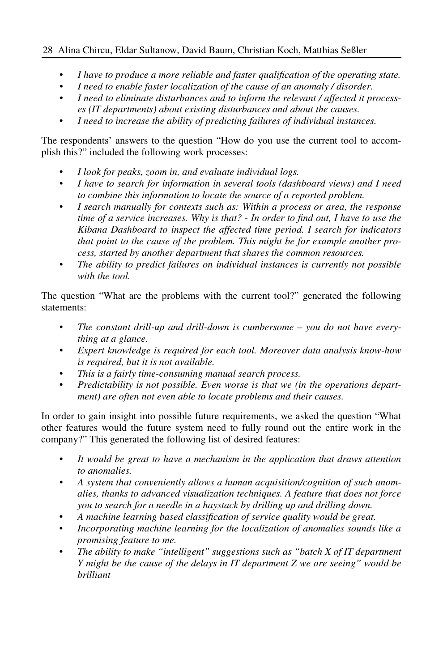#### 28 Alina Chircu, Eldar Sultanow, David Baum, Christian Koch, Matthias Seßler

- *I have to produce a more reliable and faster qualification of the operating state.*
- *I need to enable faster localization of the cause of an anomaly / disorder.*
- *I need to eliminate disturbances and to inform the relevant / affected it processes (IT departments) about existing disturbances and about the causes.*
- *I need to increase the ability of predicting failures of individual instances.*

The respondents' answers to the question "How do you use the current tool to accomplish this?" included the following work processes:

- *I look for peaks, zoom in, and evaluate individual logs.*
- *I have to search for information in several tools (dashboard views) and I need to combine this information to locate the source of a reported problem.*
- *I search manually for contexts such as: Within a process or area, the response time of a service increases. Why is that? - In order to find out, I have to use the Kibana Dashboard to inspect the affected time period. I search for indicators that point to the cause of the problem. This might be for example another process, started by another department that shares the common resources.*
- *The ability to predict failures on individual instances is currently not possible with the tool.*

The question "What are the problems with the current tool?" generated the following statements:

- *The constant drill-up and drill-down is cumbersome you do not have everything at a glance.*
- *Expert knowledge is required for each tool. Moreover data analysis know-how is required, but it is not available.*
- *This is a fairly time-consuming manual search process.*
- *Predictability is not possible. Even worse is that we (in the operations department) are often not even able to locate problems and their causes.*

In order to gain insight into possible future requirements, we asked the question "What other features would the future system need to fully round out the entire work in the company?" This generated the following list of desired features:

- *It would be great to have a mechanism in the application that draws attention to anomalies.*
- *A system that conveniently allows a human acquisition/cognition of such anomalies, thanks to advanced visualization techniques. A feature that does not force you to search for a needle in a haystack by drilling up and drilling down.*
- *A machine learning based classification of service quality would be great.*
- *Incorporating machine learning for the localization of anomalies sounds like a promising feature to me.*
- *The ability to make "intelligent" suggestions such as "batch X of IT department Y might be the cause of the delays in IT department Z we are seeing" would be brilliant*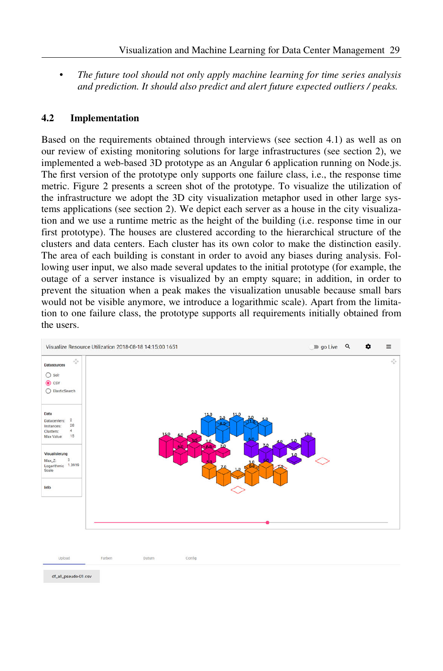• *The future tool should not only apply machine learning for time series analysis and prediction. It should also predict and alert future expected outliers / peaks.*

#### **4.2 Implementation**

Based on the requirements obtained through interviews (see section 4.1) as well as on our review of existing monitoring solutions for large infrastructures (see section 2), we implemented a web-based 3D prototype as an Angular 6 application running on Node.js. The first version of the prototype only supports one failure class, i.e., the response time metric. Figure 2 presents a screen shot of the prototype. To visualize the utilization of the infrastructure we adopt the 3D city visualization metaphor used in other large systems applications (see section 2). We depict each server as a house in the city visualization and we use a runtime metric as the height of the building (i.e. response time in our first prototype). The houses are clustered according to the hierarchical structure of the clusters and data centers. Each cluster has its own color to make the distinction easily. The area of each building is constant in order to avoid any biases during analysis. Following user input, we also made several updates to the initial prototype (for example, the outage of a server instance is visualized by an empty square; in addition, in order to prevent the situation when a peak makes the visualization unusable because small bars would not be visible anymore, we introduce a logarithmic scale). Apart from the limitation to one failure class, the prototype supports all requirements initially obtained from the users.



Farben Datum Confin Unload

df all pseudo-01.csv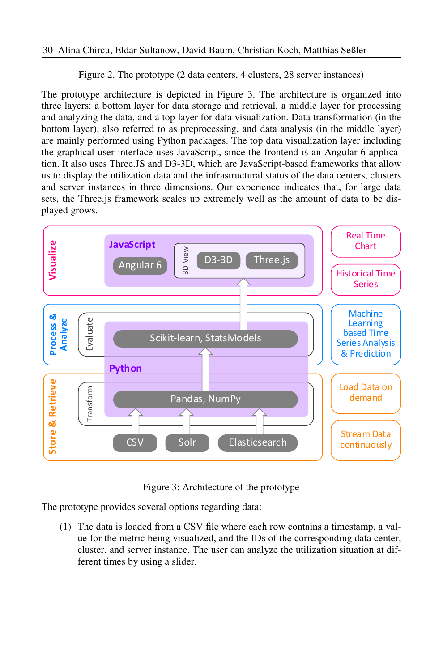Figure 2. The prototype (2 data centers, 4 clusters, 28 server instances)

The prototype architecture is depicted in Figure 3. The architecture is organized into three layers: a bottom layer for data storage and retrieval, a middle layer for processing and analyzing the data, and a top layer for data visualization. Data transformation (in the bottom layer), also referred to as preprocessing, and data analysis (in the middle layer) are mainly performed using Python packages. The top data visualization layer including the graphical user interface uses JavaScript, since the frontend is an Angular 6 application. It also uses Three.JS and D3-3D, which are JavaScript-based frameworks that allow us to display the utilization data and the infrastructural status of the data centers, clusters and server instances in three dimensions. Our experience indicates that, for large data sets, the Three.js framework scales up extremely well as the amount of data to be displayed grows.



Figure 3: Architecture of the prototype

The prototype provides several options regarding data:

(1) The data is loaded from a CSV file where each row contains a timestamp, a value for the metric being visualized, and the IDs of the corresponding data center, cluster, and server instance. The user can analyze the utilization situation at different times by using a slider.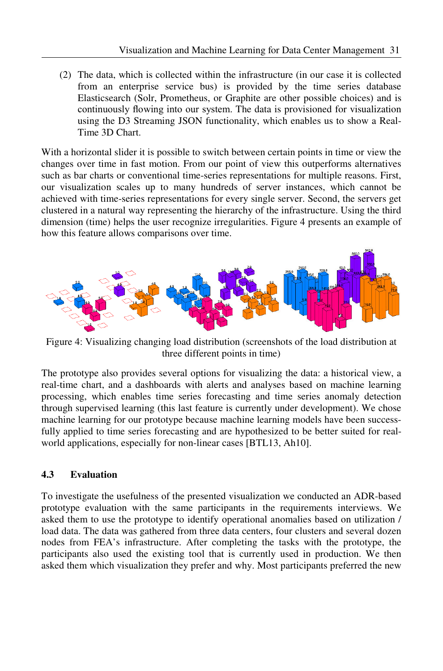(2) The data, which is collected within the infrastructure (in our case it is collected from an enterprise service bus) is provided by the time series database Elasticsearch (Solr, Prometheus, or Graphite are other possible choices) and is continuously flowing into our system. The data is provisioned for visualization using the D3 Streaming JSON functionality, which enables us to show a Real-Time 3D Chart.

With a horizontal slider it is possible to switch between certain points in time or view the changes over time in fast motion. From our point of view this outperforms alternatives such as bar charts or conventional time-series representations for multiple reasons. First, our visualization scales up to many hundreds of server instances, which cannot be achieved with time-series representations for every single server. Second, the servers get clustered in a natural way representing the hierarchy of the infrastructure. Using the third dimension (time) helps the user recognize irregularities. Figure 4 presents an example of how this feature allows comparisons over time.



Figure 4: Visualizing changing load distribution (screenshots of the load distribution at three different points in time)

The prototype also provides several options for visualizing the data: a historical view, a real-time chart, and a dashboards with alerts and analyses based on machine learning processing, which enables time series forecasting and time series anomaly detection through supervised learning (this last feature is currently under development). We chose machine learning for our prototype because machine learning models have been successfully applied to time series forecasting and are hypothesized to be better suited for realworld applications, especially for non-linear cases [BTL13, Ah10].

#### **4.3 Evaluation**

To investigate the usefulness of the presented visualization we conducted an ADR-based prototype evaluation with the same participants in the requirements interviews. We asked them to use the prototype to identify operational anomalies based on utilization / load data. The data was gathered from three data centers, four clusters and several dozen nodes from FEA's infrastructure. After completing the tasks with the prototype, the participants also used the existing tool that is currently used in production. We then asked them which visualization they prefer and why. Most participants preferred the new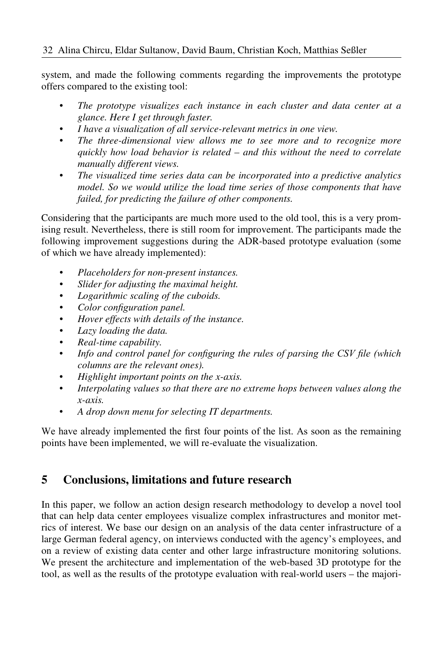system, and made the following comments regarding the improvements the prototype offers compared to the existing tool:

- *The prototype visualizes each instance in each cluster and data center at a glance. Here I get through faster.*
- *I have a visualization of all service-relevant metrics in one view.*
- *The three-dimensional view allows me to see more and to recognize more quickly how load behavior is related – and this without the need to correlate manually different views.*
- *The visualized time series data can be incorporated into a predictive analytics model. So we would utilize the load time series of those components that have failed, for predicting the failure of other components.*

Considering that the participants are much more used to the old tool, this is a very promising result. Nevertheless, there is still room for improvement. The participants made the following improvement suggestions during the ADR-based prototype evaluation (some of which we have already implemented):

- *Placeholders for non-present instances.*
- *Slider for adjusting the maximal height.*
- *Logarithmic scaling of the cuboids.*
- *Color configuration panel.*
- *Hover effects with details of the instance.*
- *Lazy loading the data.*
- *Real-time capability.*
- *Info and control panel for configuring the rules of parsing the CSV file (which columns are the relevant ones).*
- *Highlight important points on the x-axis.*
- *Interpolating values so that there are no extreme hops between values along the x-axis.*
- *A drop down menu for selecting IT departments.*

We have already implemented the first four points of the list. As soon as the remaining points have been implemented, we will re-evaluate the visualization.

## **5 Conclusions, limitations and future research**

In this paper, we follow an action design research methodology to develop a novel tool that can help data center employees visualize complex infrastructures and monitor metrics of interest. We base our design on an analysis of the data center infrastructure of a large German federal agency, on interviews conducted with the agency's employees, and on a review of existing data center and other large infrastructure monitoring solutions. We present the architecture and implementation of the web-based 3D prototype for the tool, as well as the results of the prototype evaluation with real-world users – the majori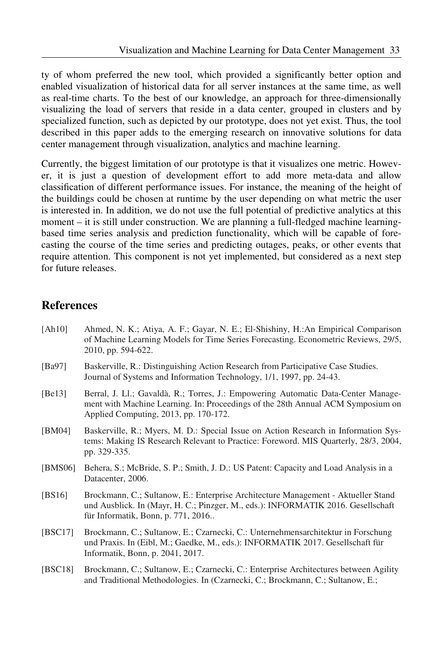ty of whom preferred the new tool, which provided a significantly better option and enabled visualization of historical data for all server instances at the same time, as well as real-time charts. To the best of our knowledge, an approach for three-dimensionally visualizing the load of servers that reside in a data center, grouped in clusters and by specialized function, such as depicted by our prototype, does not yet exist. Thus, the tool described in this paper adds to the emerging research on innovative solutions for data center management through visualization, analytics and machine learning.

Currently, the biggest limitation of our prototype is that it visualizes one metric. However, it is just a question of development effort to add more meta-data and allow classification of different performance issues. For instance, the meaning of the height of the buildings could be chosen at runtime by the user depending on what metric the user is interested in. In addition, we do not use the full potential of predictive analytics at this moment – it is still under construction. We are planning a full-fledged machine learningbased time series analysis and prediction functionality, which will be capable of forecasting the course of the time series and predicting outages, peaks, or other events that require attention. This component is not yet implemented, but considered as a next step for future releases.

### **References**

| [Ah10]  | Ahmed, N. K.; Atiya, A. F.; Gayar, N. E.; El-Shishiny, H.:An Empirical Comparison<br>of Machine Learning Models for Time Series Forecasting. Econometric Reviews, 29/5,<br>2010, pp. 594-622.                 |
|---------|---------------------------------------------------------------------------------------------------------------------------------------------------------------------------------------------------------------|
| [Ba97]  | Baskerville, R.: Distinguishing Action Research from Participative Case Studies.<br>Journal of Systems and Information Technology, 1/1, 1997, pp. 24-43.                                                      |
| [Be13]  | Berral, J. Ll.; Gavaldà, R.; Torres, J.: Empowering Automatic Data-Center Manage-<br>ment with Machine Learning. In: Proceedings of the 28th Annual ACM Symposium on<br>Applied Computing, 2013, pp. 170-172. |
| [BM04]  | Baskerville, R.; Myers, M. D.: Special Issue on Action Research in Information Sys-<br>tems: Making IS Research Relevant to Practice: Foreword. MIS Quarterly, 28/3, 2004,<br>pp. 329-335.                    |
| [BMS06] | Behera, S.; McBride, S. P.; Smith, J. D.: US Patent: Capacity and Load Analysis in a<br>Datacenter, 2006.                                                                                                     |
| [BS16]  | Brockmann, C.; Sultanow, E.: Enterprise Architecture Management - Aktueller Stand<br>und Ausblick. In (Mayr, H. C.; Pinzger, M., eds.): INFORMATIK 2016. Gesellschaft<br>für Informatik, Bonn, p. 771, 2016   |
| [BSC17] | Brockmann, C.; Sultanow, E.; Czarnecki, C.: Unternehmensarchitektur in Forschung<br>und Praxis. In (Eibl, M.; Gaedke, M., eds.): INFORMATIK 2017. Gesellschaft für<br>Informatik, Bonn, p. 2041, 2017.        |
| [BSC18] | Brockmann, C.; Sultanow, E.; Czarnecki, C.: Enterprise Architectures between Agility<br>and Traditional Methodologies. In (Czarnecki, C.; Brockmann, C.; Sultanow, E.;                                        |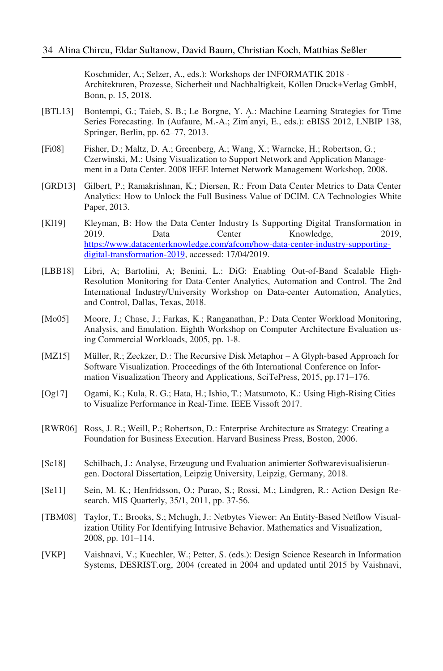Koschmider, A.; Selzer, A., eds.): Workshops der INFORMATIK 2018 - Architekturen, Prozesse, Sicherheit und Nachhaltigkeit, Köllen Druck+Verlag GmbH, Bonn, p. 15, 2018.

- [BTL13] Bontempi, G.; Taieb, S. B.; Le Borgne, Y. A.: Machine Learning Strategies for Time Series Forecasting. In (Aufaure, M.-A.; Zim ́anyi, E., eds.): eBISS 2012, LNBIP 138, Springer, Berlin, pp. 62–77, 2013.
- [Fi08] Fisher, D.; Maltz, D. A.; Greenberg, A.; Wang, X.; Warncke, H.; Robertson, G.; Czerwinski, M.: Using Visualization to Support Network and Application Management in a Data Center. 2008 IEEE Internet Network Management Workshop, 2008.
- [GRD13] Gilbert, P.; Ramakrishnan, K.; Diersen, R.: From Data Center Metrics to Data Center Analytics: How to Unlock the Full Business Value of DCIM. CA Technologies White Paper, 2013.
- [Kl19] Kleyman, B: How the Data Center Industry Is Supporting Digital Transformation in 2019. Data Center Knowledge, 2019, https://www.datacenterknowledge.com/afcom/how-data-center-industry-supportingdigital-transformation-2019, accessed: 17/04/2019.
- [LBB18] Libri, A; Bartolini, A; Benini, L.: DiG: Enabling Out-of-Band Scalable High-Resolution Monitoring for Data-Center Analytics, Automation and Control. The 2nd International Industry/University Workshop on Data-center Automation, Analytics, and Control, Dallas, Texas, 2018.
- [Mo05] Moore, J.; Chase, J.; Farkas, K.; Ranganathan, P.: Data Center Workload Monitoring, Analysis, and Emulation. Eighth Workshop on Computer Architecture Evaluation using Commercial Workloads, 2005, pp. 1-8.
- [MZ15] Müller, R.; Zeckzer, D.: The Recursive Disk Metaphor A Glyph-based Approach for Software Visualization. Proceedings of the 6th International Conference on Information Visualization Theory and Applications, SciTePress, 2015, pp.171–176.
- [Og17] Ogami, K.; Kula, R. G.; Hata, H.; Ishio, T.; Matsumoto, K.: Using High-Rising Cities to Visualize Performance in Real-Time. IEEE Vissoft 2017.
- [RWR06] Ross, J. R.; Weill, P.; Robertson, D.: Enterprise Architecture as Strategy: Creating a Foundation for Business Execution. Harvard Business Press, Boston, 2006.
- [Sc18] Schilbach, J.: Analyse, Erzeugung und Evaluation animierter Softwarevisualisierungen. Doctoral Dissertation, Leipzig University, Leipzig, Germany, 2018.
- [Se11] Sein, M. K.; Henfridsson, O.; Purao, S.; Rossi, M.; Lindgren, R.: Action Design Research. MIS Quarterly, 35/1, 2011, pp. 37-56.
- [TBM08] Taylor, T.; Brooks, S.; Mchugh, J.: Netbytes Viewer: An Entity-Based Netflow Visualization Utility For Identifying Intrusive Behavior. Mathematics and Visualization, 2008, pp. 101–114.
- [VKP] Vaishnavi, V.; Kuechler, W.; Petter, S. (eds.): Design Science Research in Information Systems, DESRIST.org, 2004 (created in 2004 and updated until 2015 by Vaishnavi,